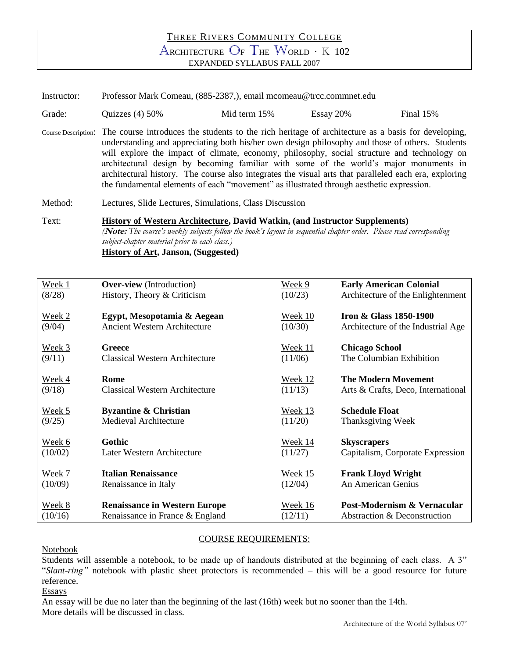## THREE RIVERS COMMUNITY COLLEGE ARCHITECTURE O<sup>F</sup> THE WORLD <sup>∙</sup> <sup>K</sup> <sup>102</sup> EXPANDED SYLLABUS FALL 2007

Instructor: Professor Mark Comeau, (885-2387,), email mcomeau@trcc.commnet.edu

Grade: Quizzes (4) 50% Mid term 15% Essay 20% Final 15%

Course Description: The course introduces the students to the rich heritage of architecture as a basis for developing, understanding and appreciating both his/her own design philosophy and those of others. Students will explore the impact of climate, economy, philosophy, social structure and technology on architectural design by becoming familiar with some of the world's major monuments in architectural history. The course also integrates the visual arts that paralleled each era, exploring the fundamental elements of each "movement" as illustrated through aesthetic expression.

Method: Lectures, Slide Lectures, Simulations, Class Discussion

## Text: **History of Western Architecture, David Watkin, (and Instructor Supplements)** *(***Note:** *The course's weekly subjects follow the book's layout in sequential chapter order. Please read corresponding subject-chapter material prior to each class.)* **History of Art, Janson, (Suggested)**

| Week 1  | <b>Over-view</b> (Introduction)       | Week 9         | <b>Early American Colonial</b>     |
|---------|---------------------------------------|----------------|------------------------------------|
| (8/28)  | History, Theory & Criticism           | (10/23)        | Architecture of the Enlightenment  |
| Week 2  | Egypt, Mesopotamia & Aegean           | Week 10        | <b>Iron &amp; Glass 1850-1900</b>  |
| (9/04)  | <b>Ancient Western Architecture</b>   | (10/30)        | Architecture of the Industrial Age |
| Week 3  | Greece                                | <b>Week 11</b> | <b>Chicago School</b>              |
| (9/11)  | <b>Classical Western Architecture</b> | (11/06)        | The Columbian Exhibition           |
| Week 4  | Rome                                  | Week 12        | <b>The Modern Movement</b>         |
| (9/18)  | <b>Classical Western Architecture</b> | (11/13)        | Arts & Crafts, Deco, International |
| Week 5  | <b>Byzantine &amp; Christian</b>      | Week 13        | <b>Schedule Float</b>              |
| (9/25)  | <b>Medieval Architecture</b>          | (11/20)        | Thanksgiving Week                  |
| Week 6  | Gothic                                | Week 14        | <b>Skyscrapers</b>                 |
| (10/02) | Later Western Architecture            | (11/27)        | Capitalism, Corporate Expression   |
| Week 7  | <b>Italian Renaissance</b>            | Week 15        | <b>Frank Lloyd Wright</b>          |
| (10/09) | Renaissance in Italy                  | (12/04)        | An American Genius                 |
| Week 8  | <b>Renaissance in Western Europe</b>  | Week 16        | Post-Modernism & Vernacular        |
| (10/16) | Renaissance in France & England       | (12/11)        | Abstraction & Deconstruction       |

## COURSE REQUIREMENTS:

Notebook

Students will assemble a notebook, to be made up of handouts distributed at the beginning of each class. A 3" "*Slant-ring"* notebook with plastic sheet protectors is recommended – this will be a good resource for future reference.

Essays

An essay will be due no later than the beginning of the last (16th) week but no sooner than the 14th. More details will be discussed in class.